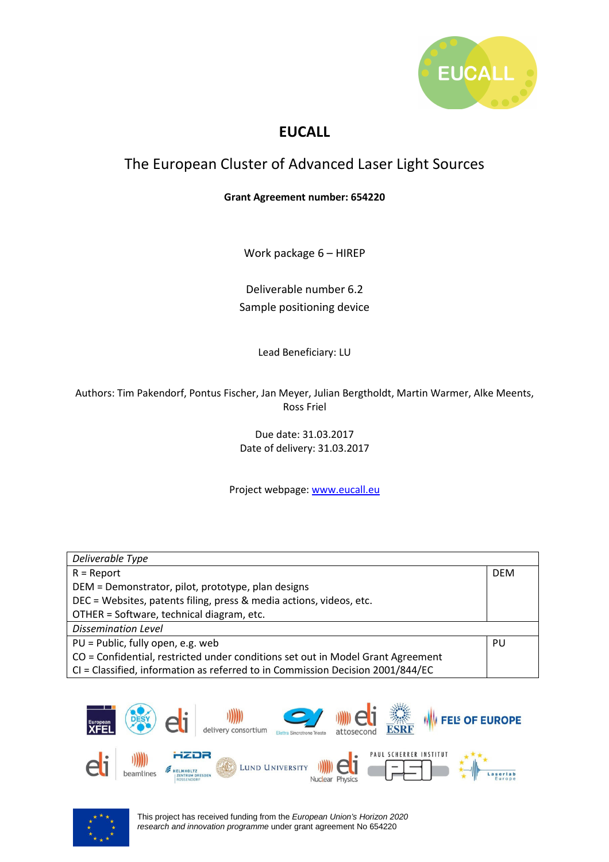

## **EUCALL**

## The European Cluster of Advanced Laser Light Sources

## **Grant Agreement number: 654220**

Work package 6 – HIREP

Deliverable number 6.2 Sample positioning device

Lead Beneficiary: LU

Authors: Tim Pakendorf, Pontus Fischer, Jan Meyer, Julian Bergtholdt, Martin Warmer, Alke Meents, Ross Friel

> Due date: 31.03.2017 Date of delivery: 31.03.2017

Project webpage: www.eucall.eu

| Deliverable Type                                                                |            |
|---------------------------------------------------------------------------------|------------|
| $R =$ Report                                                                    | <b>DEM</b> |
| DEM = Demonstrator, pilot, prototype, plan designs                              |            |
| DEC = Websites, patents filing, press & media actions, videos, etc.             |            |
| OTHER = Software, technical diagram, etc.                                       |            |
| <b>Dissemination Level</b>                                                      |            |
| PU = Public, fully open, e.g. web                                               | PU         |
| CO = Confidential, restricted under conditions set out in Model Grant Agreement |            |
| CI = Classified, information as referred to in Commission Decision 2001/844/EC  |            |



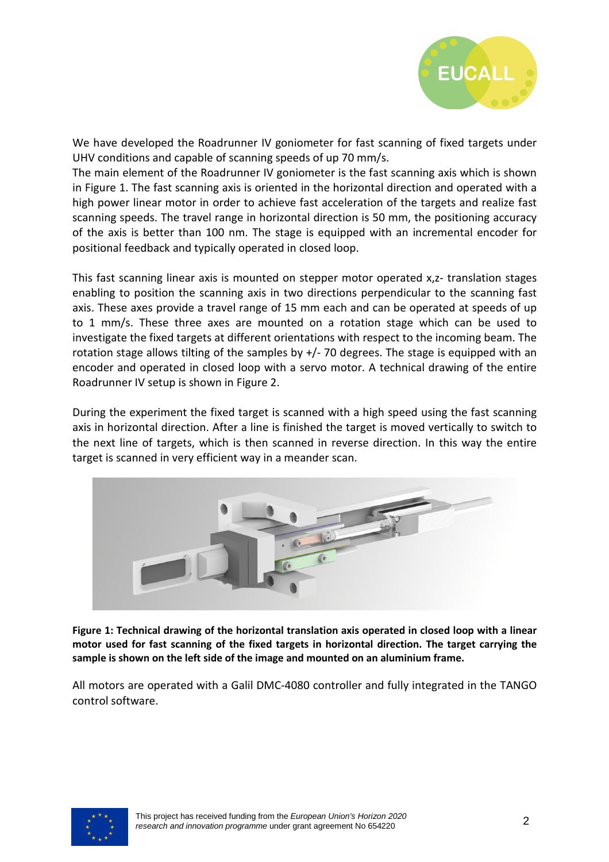

We have developed the Roadrunner IV goniometer for fast scanning of fixed targets under UHV conditions and capable of scanning speeds of up 70 mm/s.

The main element of the Roadrunner IV goniometer is the fast scanning axis which is shown in Figure 1. The fast scanning axis is oriented in the horizontal direction and operated with a high power linear motor in order to achieve fast acceleration of the targets and realize fast scanning speeds. The travel range in horizontal direction is 50 mm, the positioning accuracy of the axis is better than 100 nm. The stage is equipped with an incremental encoder for positional feedback and typically operated in closed loop.

This fast scanning linear axis is mounted on stepper motor operated x,z- translation stages enabling to position the scanning axis in two directions perpendicular to the scanning fast axis. These axes provide a travel range of 15 mm each and can be operated at speeds of up to 1 mm/s. These three axes are mounted on a rotation stage which can be used to investigate the fixed targets at different orientations with respect to the incoming beam. The rotation stage allows tilting of the samples by  $+/-$  70 degrees. The stage is equipped with an encoder and operated in closed loop with a servo motor. A technical drawing of the entire Roadrunner IV setup is shown in Figure 2.

During the experiment the fixed target is scanned with a high speed using the fast scanning axis in horizontal direction. After a line is finished the target is moved vertically to switch to the next line of targets, which is then scanned in reverse direction. In this way the entire target is scanned in very efficient way in a meander scan.



**Figure 1: Technical drawing of the horizontal translation axis operated in closed loop with a linear motor used for fast scanning of the fixed targets in horizontal direction. The target carrying the sample is shown on the left side of the image and mounted on an aluminium frame.** 

All motors are operated with a Galil DMC-4080 controller and fully integrated in the TANGO control software.

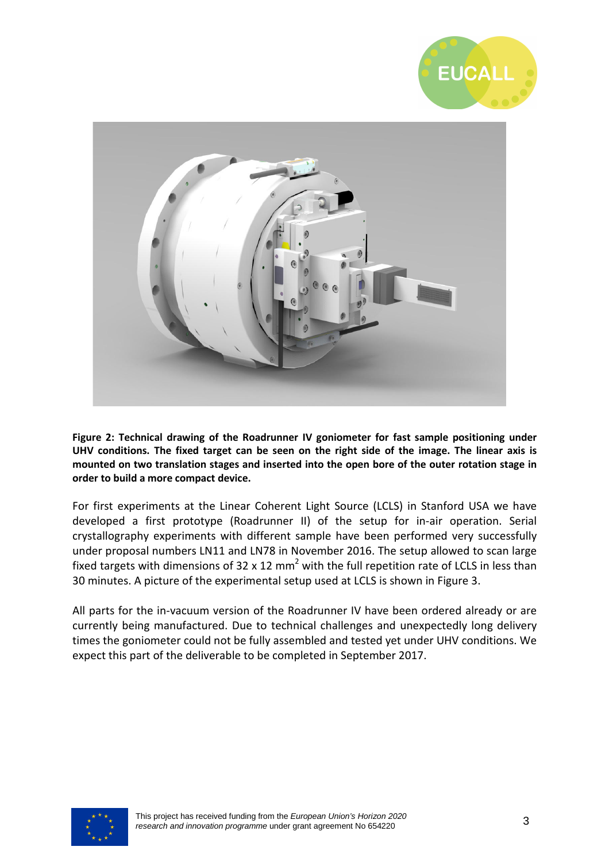



**Figure 2: Technical drawing of the Roadrunner IV goniometer for fast sample positioning under UHV conditions. The fixed target can be seen on the right side of the image. The linear axis is mounted on two translation stages and inserted into the open bore of the outer rotation stage in order to build a more compact device.** 

For first experiments at the Linear Coherent Light Source (LCLS) in Stanford USA we have developed a first prototype (Roadrunner II) of the setup for in-air operation. Serial crystallography experiments with different sample have been performed very successfully under proposal numbers LN11 and LN78 in November 2016. The setup allowed to scan large fixed targets with dimensions of 32 x 12 mm<sup>2</sup> with the full repetition rate of LCLS in less than 30 minutes. A picture of the experimental setup used at LCLS is shown in Figure 3.

All parts for the in-vacuum version of the Roadrunner IV have been ordered already or are currently being manufactured. Due to technical challenges and unexpectedly long delivery times the goniometer could not be fully assembled and tested yet under UHV conditions. We expect this part of the deliverable to be completed in September 2017.